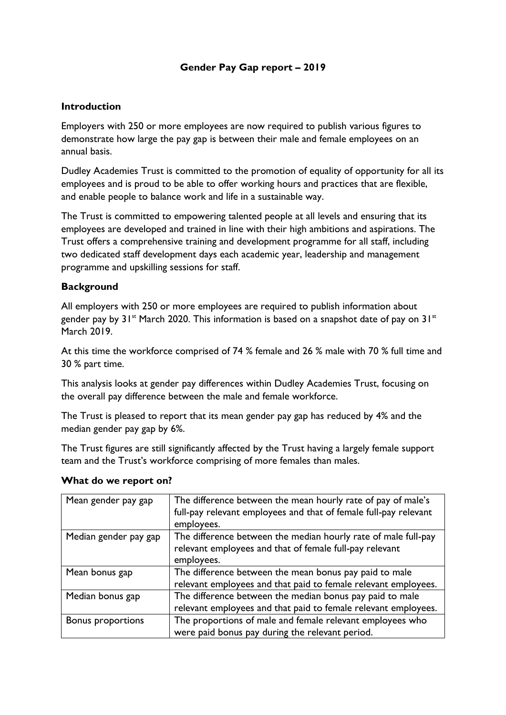# **Gender Pay Gap report – 2019**

# **Introduction**

Employers with 250 or more employees are now required to publish various figures to demonstrate how large the pay gap is between their male and female employees on an annual basis.

Dudley Academies Trust is committed to the promotion of equality of opportunity for all its employees and is proud to be able to offer working hours and practices that are flexible, and enable people to balance work and life in a sustainable way.

The Trust is committed to empowering talented people at all levels and ensuring that its employees are developed and trained in line with their high ambitions and aspirations. The Trust offers a comprehensive training and development programme for all staff, including two dedicated staff development days each academic year, leadership and management programme and upskilling sessions for staff.

# **Background**

All employers with 250 or more employees are required to publish information about gender pay by  $31^{st}$  March 2020. This information is based on a snapshot date of pay on  $31^{st}$ March 2019.

At this time the workforce comprised of 74 % female and 26 % male with 70 % full time and 30 % part time.

This analysis looks at gender pay differences within Dudley Academies Trust, focusing on the overall pay difference between the male and female workforce.

The Trust is pleased to report that its mean gender pay gap has reduced by 4% and the median gender pay gap by 6%.

The Trust figures are still significantly affected by the Trust having a largely female support team and the Trust's workforce comprising of more females than males.

#### **What do we report on?**

| Mean gender pay gap      | The difference between the mean hourly rate of pay of male's<br>full-pay relevant employees and that of female full-pay relevant<br>employees. |
|--------------------------|------------------------------------------------------------------------------------------------------------------------------------------------|
| Median gender pay gap    | The difference between the median hourly rate of male full-pay<br>relevant employees and that of female full-pay relevant<br>employees.        |
| Mean bonus gap           | The difference between the mean bonus pay paid to male<br>relevant employees and that paid to female relevant employees.                       |
| Median bonus gap         | The difference between the median bonus pay paid to male<br>relevant employees and that paid to female relevant employees.                     |
| <b>Bonus proportions</b> | The proportions of male and female relevant employees who<br>were paid bonus pay during the relevant period.                                   |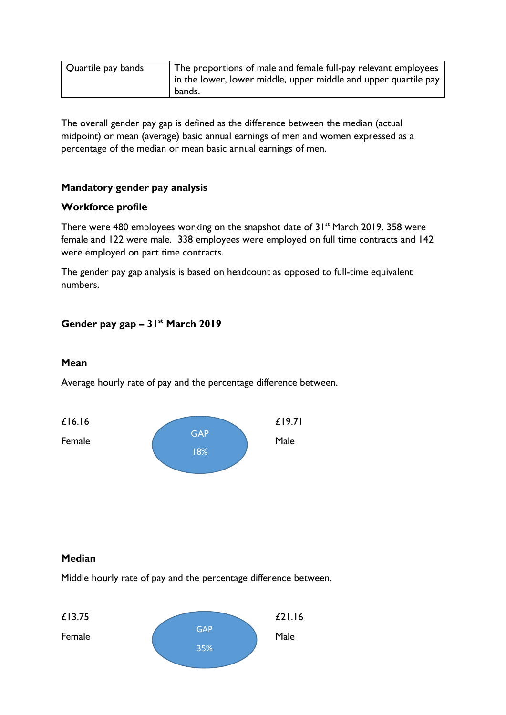| Quartile pay bands | The proportions of male and female full-pay relevant employees<br>in the lower, lower middle, upper middle and upper quartile pay |
|--------------------|-----------------------------------------------------------------------------------------------------------------------------------|
|                    | bands.                                                                                                                            |

The overall gender pay gap is defined as the difference between the median (actual midpoint) or mean (average) basic annual earnings of men and women expressed as a percentage of the median or mean basic annual earnings of men.

# **Mandatory gender pay analysis**

### **Workforce profile**

There were 480 employees working on the snapshot date of  $31<sup>st</sup>$  March 2019. 358 were female and 122 were male. 338 employees were employed on full time contracts and 142 were employed on part time contracts.

The gender pay gap analysis is based on headcount as opposed to full-time equivalent numbers.

# **Gender pay gap – 31st March 2019**

#### **Mean**

Average hourly rate of pay and the percentage difference between.



#### **Median**

Middle hourly rate of pay and the percentage difference between.